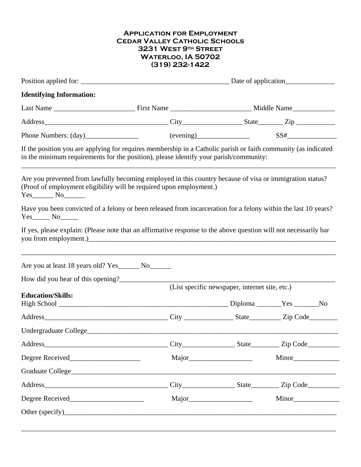## **Application for Employment Cedar Valley Catholic Schools 3231 West 9th Street Waterloo, IA 50702 (319) 232-1422**

| <b>Identifying Information:</b>                                                                                                                                                                                                                                                                                             |  |                                                |  |  |  |
|-----------------------------------------------------------------------------------------------------------------------------------------------------------------------------------------------------------------------------------------------------------------------------------------------------------------------------|--|------------------------------------------------|--|--|--|
|                                                                                                                                                                                                                                                                                                                             |  |                                                |  |  |  |
|                                                                                                                                                                                                                                                                                                                             |  |                                                |  |  |  |
|                                                                                                                                                                                                                                                                                                                             |  |                                                |  |  |  |
| If the position you are applying for requires membership in a Catholic parish or faith community (as indicated<br>in the minimum requirements for the position), please identify your parish/community:<br>and the control of the control of the control of the control of the control of the control of the control of the |  |                                                |  |  |  |
| Are you prevented from lawfully becoming employed in this country because of visa or immigration status?<br>(Proof of employment eligibility will be required upon employment.)<br>$Yes$ No $N$ o                                                                                                                           |  |                                                |  |  |  |
| Have you been convicted of a felony or been released from incarceration for a felony within the last 10 years?<br>$Yes$ No $N$                                                                                                                                                                                              |  |                                                |  |  |  |
|                                                                                                                                                                                                                                                                                                                             |  |                                                |  |  |  |
|                                                                                                                                                                                                                                                                                                                             |  |                                                |  |  |  |
|                                                                                                                                                                                                                                                                                                                             |  |                                                |  |  |  |
|                                                                                                                                                                                                                                                                                                                             |  |                                                |  |  |  |
|                                                                                                                                                                                                                                                                                                                             |  | (List specific newspaper, internet site, etc.) |  |  |  |
|                                                                                                                                                                                                                                                                                                                             |  |                                                |  |  |  |
|                                                                                                                                                                                                                                                                                                                             |  |                                                |  |  |  |
|                                                                                                                                                                                                                                                                                                                             |  |                                                |  |  |  |
|                                                                                                                                                                                                                                                                                                                             |  |                                                |  |  |  |
|                                                                                                                                                                                                                                                                                                                             |  |                                                |  |  |  |
|                                                                                                                                                                                                                                                                                                                             |  |                                                |  |  |  |
|                                                                                                                                                                                                                                                                                                                             |  |                                                |  |  |  |
| If yes, please explain: (Please note that an affirmative response to the above question will not necessarily bar<br>Are you at least 18 years old? Yes_________ No________<br><b>Education/Skills:</b>                                                                                                                      |  |                                                |  |  |  |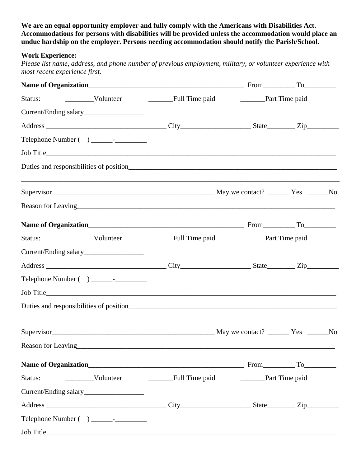## **We are an equal opportunity employer and fully comply with the Americans with Disabilities Act. Accommodations for persons with disabilities will be provided unless the accommodation would place an undue hardship on the employer. Persons needing accommodation should notify the Parish/School.**

## **Work Experience:**

*Please list name, address, and phone number of previous employment, military, or volunteer experience with most recent experience first.* 

|                    |                                          |                                         | <b>Example 1</b> Part Time paid |  |
|--------------------|------------------------------------------|-----------------------------------------|---------------------------------|--|
|                    | Current/Ending salary___________________ |                                         |                                 |  |
|                    |                                          |                                         |                                 |  |
|                    |                                          |                                         |                                 |  |
|                    |                                          |                                         |                                 |  |
|                    |                                          |                                         |                                 |  |
|                    |                                          |                                         |                                 |  |
|                    |                                          |                                         |                                 |  |
|                    |                                          |                                         |                                 |  |
|                    |                                          |                                         |                                 |  |
|                    |                                          |                                         |                                 |  |
|                    |                                          |                                         |                                 |  |
|                    |                                          |                                         |                                 |  |
|                    |                                          |                                         |                                 |  |
|                    |                                          | Duties and responsibilities of position |                                 |  |
|                    |                                          |                                         |                                 |  |
| Reason for Leaving |                                          |                                         |                                 |  |
|                    |                                          |                                         |                                 |  |
|                    |                                          |                                         |                                 |  |
|                    |                                          |                                         |                                 |  |
|                    |                                          |                                         |                                 |  |
|                    |                                          |                                         |                                 |  |
|                    |                                          |                                         |                                 |  |